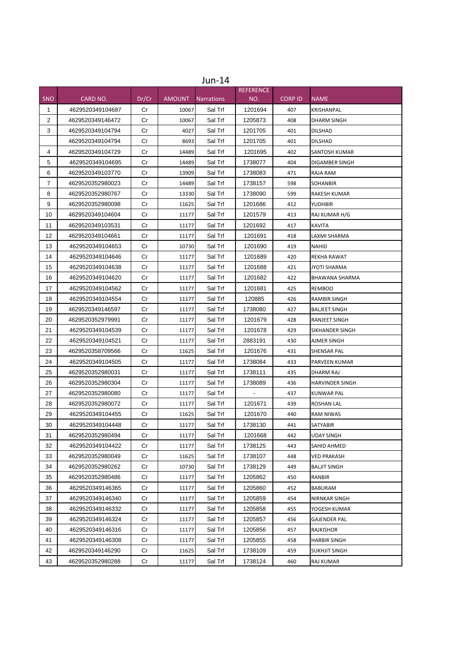|              |                  |       |               | $Jun-14$          |                  |                |                        |
|--------------|------------------|-------|---------------|-------------------|------------------|----------------|------------------------|
|              |                  |       |               |                   | <b>REFERENCE</b> |                |                        |
| <b>SNO</b>   | CARD NO.         | Dr/Cr | <b>AMOUNT</b> | <b>Narrations</b> | NO.              | <b>CORP ID</b> | <b>NAME</b>            |
| $\mathbf{1}$ | 4629520349104687 | Cr    | 10067         | Sal Trf           | 1201694          | 407            | <b>KRISHANPAL</b>      |
| 2            | 4629520349146472 | Cr    | 10067         | Sal Trf           | 1205873          | 408            | DHARM SINGH            |
| 3            | 4629520349104794 | Cr    | 4027          | Sal Trf           | 1201705          | 401            | DILSHAD                |
|              | 4629520349104794 | Cr    | 8693          | Sal Trf           | 1201705          | 401            | DILSHAD                |
| 4            | 4629520349104729 | Cr    | 14489         | Sal Trf           | 1201695          | 402            | <b>SANTOSH KUMAR</b>   |
| 5            | 4629520349104695 | Cr    | 14489         | Sal Trf           | 1738077          | 404            | DIGAMBER SINGH         |
| 6            | 4629520349103770 | Сr    | 13909         | Sal Trf           | 1738083          | 471            | RAJA RAM               |
| 7            | 4629520352980023 | Сr    | 14489         | Sal Trf           | 1738157          | 598            | <b>SOHANBIR</b>        |
| 8            | 4629520352980767 | Cr    | 13330         | Sal Trf           | 1738090          | 599            | RAKESH KUMAR           |
| 9            | 4629520352980098 | Cr    | 11625         | Sal Trf           | 1201686          | 412            | <b>YUDHBIR</b>         |
| 10           | 4629520349104604 | Сr    | 11177         | Sal Trf           | 1201579          | 413            | RAJ KUMAR H/G          |
| 11           | 4629520349103531 | Сr    | 11177         | Sal Trf           | 1201692          | 417            | <b>KAVITA</b>          |
| 12           | 4629520349104661 | Cr    | 11177         | Sal Trf           | 1201691          | 418            | LAXMI SHARMA           |
| 13           | 4629520349104653 | Сr    | 10730         | Sal Trf           | 1201690          | 419            | NAHID                  |
| 14           | 4629520349104646 | Cr    | 11177         | Sal Trf           | 1201689          | 420            | REKHA RAWAT            |
| 15           | 4629520349104638 | Сr    | 11177         | Sal Trf           | 1201688          | 421            | JYOTI SHARMA           |
| 16           | 4629520349104620 | Cr    | 11177         | Sal Trf           | 1201682          | 422            | BHAWANA SHARMA         |
| 17           | 4629520349104562 | Cr    | 11177         | Sal Trf           | 1201681          | 425            | <b>REMBOO</b>          |
| 18           | 4629520349104554 | Сr    | 11177         | Sal Trf           | 120885           | 426            | <b>RAMBIR SINGH</b>    |
| 19           | 4629520349146597 | Cr    | 11177         | Sal Trf           | 1738080          | 427            | <b>BALJEET SINGH</b>   |
| 20           | 4629520352979991 | Сr    | 11177         | Sal Trf           | 1201679          | 428            | RANJEET SINGH          |
| 21           | 4629520349104539 | Cr    | 11177         | Sal Trf           | 1201678          | 429            | SIKHANDER SINGH        |
| 22           | 4629520349104521 | Сr    | 11177         | Sal Trf           | 2883191          | 430            | AJMER SINGH            |
| 23           | 4629520358709566 | Сr    | 11625         | Sal Trf           | 1201676          | 431            | SHENSAR PAL            |
| 24           | 4629520349104505 | Cr    | 11177         | Sal Trf           | 1738084          | 433            | PARVEEN KUMAR          |
| 25           | 4629520352980031 | Cr    | 11177         | Sal Trf           | 1738111          | 435            | DHARM RAJ              |
| 26           | 4629520352980304 | Cr    | 11177         | Sal Trf           | 1738089          | 436            | <b>HARVINDER SINGH</b> |
| 27           | 4629520352980080 | Cr    | 11177         | Sal Trf           |                  | 437            | <b>KUNWAR PAL</b>      |
| 28           | 4629520352980072 | Сr    | 11177         | Sal Trf           | 1201671          | 439            | ROSHAN LAL             |
| 29           | 4629520349104455 | Сr    | 11625         | Sal Trf           | 1201670          | 440            | <b>RAM NIWAS</b>       |
| 30           | 4629520349104448 | Cr    | 11177         | Sal Trf           | 1738130          | 441            | <b>SATYABIR</b>        |
| 31           | 4629520352980494 | Cr    | 11177         | Sal Trf           | 1201668          | 442            | <b>UDAY SINGH</b>      |
| 32           | 4629520349104422 | Cr    | 11177         | Sal Trf           | 1738125          | 443            | SAHID AHMED            |
| 33           | 4629520352980049 | Cr    | 11625         | Sal Trf           | 1738107          | 448            | <b>VED PRAKASH</b>     |
| 34           | 4629520352980262 | Cr    | 10730         | Sal Trf           | 1738129          | 449            | <b>BALJIT SINGH</b>    |
| 35           | 4629520352980486 | Cr    | 11177         | Sal Trf           | 1205862          | 450            | <b>RANBIR</b>          |
| 36           | 4629520349146365 | Cr    | 11177         | Sal Trf           | 1205860          | 452            | BABURAM                |
| 37           | 4629520349146340 | Cr    | 11177         | Sal Trf           | 1205859          | 454            | NIRNKAR SINGH          |
| 38           | 4629520349146332 | Cr    | 11177         | Sal Trf           | 1205858          | 455            | YOGESH KUMAR           |
| 39           | 4629520349146324 | Cr    | 11177         | Sal Trf           | 1205857          | 456            | GAJENDER PAL           |
| 40           | 4629520349146316 | Cr    | 11177         | Sal Trf           | 1205856          | 457            | RAJKISHOR              |
| 41           | 4629520349146308 | Cr    | 11177         | Sal Trf           | 1205855          | 458            | HARBIR SINGH           |
| 42           | 4629520349146290 | Cr    | 11625         | Sal Trf           | 1738109          | 459            | SUKHJIT SINGH          |
| 43           | 4629520352980288 | Cr    | 11177         | Sal Trf           | 1738124          | 460            | RAJ KUMAR              |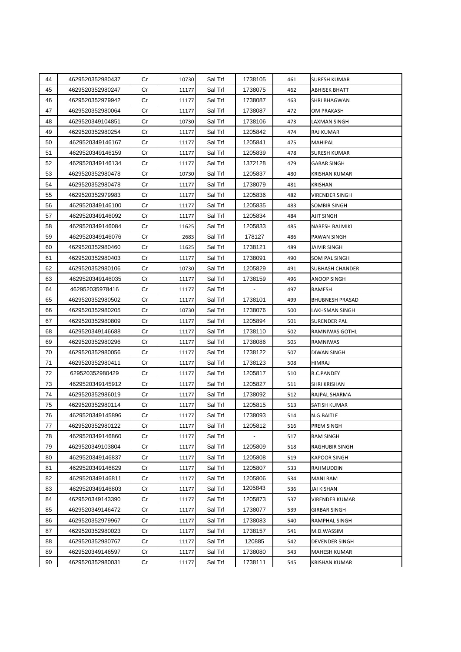| 44 | 4629520352980437 | Cr | 10730 | Sal Trf | 1738105                  | 461 | <b>SURESH KUMAR</b>    |
|----|------------------|----|-------|---------|--------------------------|-----|------------------------|
| 45 | 4629520352980247 | Cr | 11177 | Sal Trf | 1738075                  | 462 | ABHISEK BHATT          |
| 46 | 4629520352979942 | Cr | 11177 | Sal Trf | 1738087                  | 463 | SHRI BHAGWAN           |
| 47 | 4629520352980064 | Cr | 11177 | Sal Trf | 1738087                  | 472 | OM PRAKASH             |
| 48 | 4629520349104851 | Cr | 10730 | Sal Trf | 1738106                  | 473 | <b>LAXMAN SINGH</b>    |
| 49 | 4629520352980254 | Cr | 11177 | Sal Trf | 1205842                  | 474 | RAJ KUMAR              |
| 50 | 4629520349146167 | Cr | 11177 | Sal Trf | 1205841                  | 475 | MAHIPAL                |
| 51 | 4629520349146159 | Cr | 11177 | Sal Trf | 1205839                  | 478 | SURESH KUMAR           |
| 52 | 4629520349146134 | Cr | 11177 | Sal Trf | 1372128                  | 479 | <b>GABAR SINGH</b>     |
| 53 | 4629520352980478 | Cr | 10730 | Sal Trf | 1205837                  | 480 | KRISHAN KUMAR          |
| 54 | 4629520352980478 | Cr | 11177 | Sal Trf | 1738079                  | 481 | <b>KRISHAN</b>         |
| 55 | 4629520352979983 | Cr | 11177 | Sal Trf | 1205836                  | 482 | <b>VIRENDER SINGH</b>  |
| 56 | 4629520349146100 | Cr | 11177 | Sal Trf | 1205835                  | 483 | SOMBIR SINGH           |
| 57 | 4629520349146092 | Cr | 11177 | Sal Trf | 1205834                  | 484 | AJIT SINGH             |
| 58 | 4629520349146084 | Cr | 11625 | Sal Trf | 1205833                  | 485 | NARESH BALMIKI         |
| 59 | 4629520349146076 | Cr | 2683  | Sal Trf | 178127                   | 486 | PAWAN SINGH            |
| 60 | 4629520352980460 | Cr | 11625 | Sal Trf | 1738121                  | 489 | JAIVIR SINGH           |
| 61 | 4629520352980403 | Cr | 11177 | Sal Trf | 1738091                  | 490 | SOM PAL SINGH          |
| 62 | 4629520352980106 | Cr | 10730 | Sal Trf | 1205829                  | 491 | <b>SUBHASH CHANDER</b> |
| 63 | 4629520349146035 | Cr | 11177 | Sal Trf | 1738159                  | 496 | <b>ANOOP SINGH</b>     |
| 64 | 462952035978416  | Cr | 11177 | Sal Trf |                          | 497 | RAMESH                 |
| 65 | 4629520352980502 | Cr | 11177 | Sal Trf | 1738101                  | 499 | <b>BHUBNESH PRASAD</b> |
| 66 | 4629520352980205 | Cr | 10730 | Sal Trf | 1738076                  | 500 | LAKHSMAN SINGH         |
| 67 | 4629520352980809 | Cr | 11177 | Sal Trf | 1205894                  | 501 | SURENDER PAL           |
| 68 | 4629520349146688 | Cr | 11177 | Sal Trf | 1738110                  | 502 | RAMNIWAS GOTHL         |
| 69 | 4629520352980296 | Cr | 11177 | Sal Trf | 1738086                  | 505 | RAMNIWAS               |
| 70 | 4629520352980056 | Cr | 11177 | Sal Trf | 1738122                  | 507 | DIWAN SINGH            |
| 71 | 4629520352980411 | Cr | 11177 | Sal Trf | 1738123                  | 508 | HIMRAJ                 |
| 72 | 629520352980429  | Cr | 11177 | Sal Trf | 1205817                  | 510 | R.C.PANDEY             |
| 73 | 4629520349145912 | Cr | 11177 | Sal Trf | 1205827                  | 511 | SHRI KRISHAN           |
| 74 | 4629520352986019 | Cr | 11177 | Sal Trf | 1738092                  | 512 | RAJPAL SHARMA          |
| 75 | 4629520352980114 | Cr | 11177 | Sal Trf | 1205815                  | 513 | SATISH KUMAR           |
| 76 | 4629520349145896 | Cr | 11177 | Sal Trf | 1738093                  | 514 | N.G.BAITLE             |
| 77 | 4629520352980122 | Cr | 11177 | Sal Trf | 1205812                  | 516 | PREM SINGH             |
| 78 | 4629520349146860 | Cr | 11177 | Sal Trf | $\overline{\phantom{a}}$ | 517 | <b>RAM SINGH</b>       |
| 79 | 4629520349103804 | Cr | 11177 | Sal Trf | 1205809                  | 518 | <b>RAGHUBIR SINGH</b>  |
| 80 | 4629520349146837 | Cr | 11177 | Sal Trf | 1205808                  | 519 | <b>KAPOOR SINGH</b>    |
| 81 | 4629520349146829 | Cr | 11177 | Sal Trf | 1205807                  | 533 | RAHMUDDIN              |
| 82 | 4629520349146811 | Cr | 11177 | Sal Trf | 1205806                  | 534 | <b>MANI RAM</b>        |
| 83 | 4629520349146803 | Cr | 11177 | Sal Trf | 1205843                  | 536 | JAI KISHAN             |
| 84 | 4629520349143390 | Cr | 11177 | Sal Trf | 1205873                  | 537 | <b>VIRENDER KUMAR</b>  |
| 85 | 4629520349146472 | Cr | 11177 | Sal Trf | 1738077                  | 539 | GIRBAR SINGH           |
| 86 | 4629520352979967 | Cr | 11177 | Sal Trf | 1738083                  | 540 | RAMPHAL SINGH          |
| 87 | 4629520352980023 | Cr | 11177 | Sal Trf | 1738157                  | 541 | M.D.WASSIM             |
| 88 | 4629520352980767 | Cr | 11177 | Sal Trf | 120885                   | 542 | DEVENDER SINGH         |
| 89 | 4629520349146597 | Cr | 11177 | Sal Trf | 1738080                  | 543 | MAHESH KUMAR           |
| 90 | 4629520352980031 | Cr | 11177 | Sal Trf | 1738111                  | 545 | KRISHAN KUMAR          |
|    |                  |    |       |         |                          |     |                        |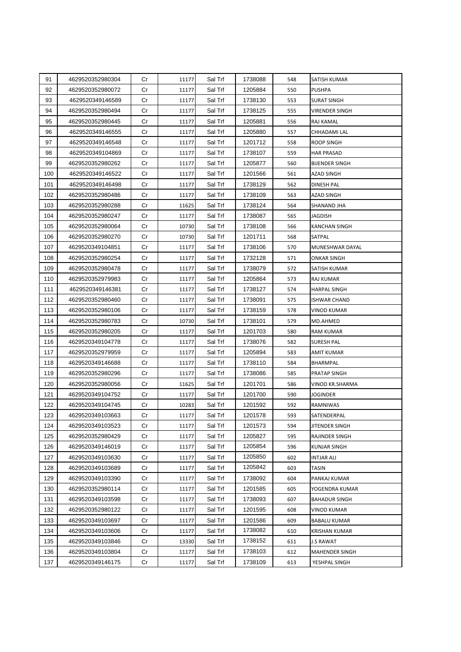| 91  | 4629520352980304 | Cr | 11177 | Sal Trf | 1738088 | 548 | SATISH KUMAR          |
|-----|------------------|----|-------|---------|---------|-----|-----------------------|
| 92  | 4629520352980072 | Cr | 11177 | Sal Trf | 1205884 | 550 | <b>PUSHPA</b>         |
| 93  | 4629520349146589 | Cr | 11177 | Sal Trf | 1738130 | 553 | SURAT SINGH           |
| 94  | 4629520352980494 | Cr | 11177 | Sal Trf | 1738125 | 555 | VIRENDER SINGH        |
| 95  | 4629520352980445 | Cr | 11177 | Sal Trf | 1205881 | 556 | <b>RAJ KAMAL</b>      |
| 96  | 4629520349146555 | Cr | 11177 | Sal Trf | 1205880 | 557 | CHHADAMI LAL          |
| 97  | 4629520349146548 | Cr | 11177 | Sal Trf | 1201712 | 558 | ROOP SINGH            |
| 98  | 4629520349104869 | Cr | 11177 | Sal Trf | 1738107 | 559 | <b>HAR PRASAD</b>     |
| 99  | 4629520352980262 | Cr | 11177 | Sal Trf | 1205877 | 560 | <b>BIJENDER SINGH</b> |
| 100 | 4629520349146522 | Cr | 11177 | Sal Trf | 1201566 | 561 | <b>AZAD SINGH</b>     |
| 101 | 4629520349146498 | Cr | 11177 | Sal Trf | 1738129 | 562 | DINESH PAL            |
| 102 | 4629520352980486 | Cr | 11177 | Sal Trf | 1738109 | 563 | <b>AZAD SINGH</b>     |
| 103 | 4629520352980288 | Cr | 11625 | Sal Trf | 1738124 | 564 | SHANAND JHA           |
| 104 | 4629520352980247 | Cr | 11177 | Sal Trf | 1738087 | 565 | JAGDISH               |
| 105 | 4629520352980064 | Cr | 10730 | Sal Trf | 1738108 | 566 | <b>KANCHAN SINGH</b>  |
| 106 | 4629520352980270 | Cr | 10730 | Sal Trf | 1201711 | 568 | SATPAL                |
| 107 | 4629520349104851 | Cr | 11177 | Sal Trf | 1738106 | 570 | MUNESHWAR DAYAL       |
| 108 | 4629520352980254 | Cr | 11177 | Sal Trf | 1732128 | 571 | ONKAR SINGH           |
| 109 | 4629520352980478 | Cr | 11177 | Sal Trf | 1738079 | 572 | SATISH KUMAR          |
| 110 | 4629520352979983 | Cr | 11177 | Sal Trf | 1205864 | 573 | <b>RAJ KUMAR</b>      |
| 111 | 4629520349146381 | Cr | 11177 | Sal Trf | 1738127 | 574 | HARPAL SINGH          |
| 112 | 4629520352980460 | Cr | 11177 | Sal Trf | 1738091 | 575 | ISHWAR CHAND          |
| 113 | 4629520352980106 | Cr | 11177 | Sal Trf | 1738159 | 578 | VINOD KUMAR           |
| 114 | 4629520352980783 | Cr | 10730 | Sal Trf | 1738101 | 579 | MD.AHMED              |
| 115 | 4629520352980205 | Cr | 11177 | Sal Trf | 1201703 | 580 | RAM KUMAR             |
| 116 | 4629520349104778 | Cr | 11177 | Sal Trf | 1738076 | 582 | SURESH PAL            |
| 117 | 4629520352979959 | Cr | 11177 | Sal Trf | 1205894 | 583 | AMIT KUMAR            |
| 118 | 4629520349146688 | Cr | 11177 | Sal Trf | 1738110 | 584 | BHARMPAL              |
| 119 | 4629520352980296 | Cr | 11177 | Sal Trf | 1738086 | 585 | PRATAP SINGH          |
| 120 | 4629520352980056 | Cr | 11625 | Sal Trf | 1201701 | 586 | VINOD KR.SHARMA       |
| 121 | 4629520349104752 | Cr | 11177 | Sal Trf | 1201700 | 590 | JOGINDER              |
| 122 | 4629520349104745 | Cr | 10283 | Sal Trf | 1201592 | 592 | RAMNIWAS              |
| 123 | 4629520349103663 | Cr | 11177 | Sal Trf | 1201578 | 593 | SATENDERPAL           |
| 124 | 4629520349103523 | Cr | 11177 | Sal Trf | 1201573 | 594 | JITENDER SINGH        |
| 125 | 4629520352980429 | Cr | 11177 | Sal Trf | 1205827 | 595 | <b>RAJINDER SINGH</b> |
| 126 | 4629520349146019 | Cr | 11177 | Sal Trf | 1205854 | 596 | <b>KUNJAR SINGH</b>   |
| 127 | 4629520349103630 | Cr | 11177 | Sal Trf | 1205850 | 602 | <b>INTJAR ALI</b>     |
| 128 | 4629520349103689 | Cr | 11177 | Sal Trf | 1205842 | 603 | TASIN                 |
| 129 | 4629520349103390 | Cr | 11177 | Sal Trf | 1738092 | 604 | PANKAJ KUMAR          |
| 130 | 4629520352980114 | Cr | 11177 | Sal Trf | 1201585 | 605 | YOGENDRA KUMAR        |
| 131 | 4629520349103598 | Cr | 11177 | Sal Trf | 1738093 | 607 | <b>BAHADUR SINGH</b>  |
| 132 | 4629520352980122 | Cr | 11177 | Sal Trf | 1201595 | 608 | VINOD KUMAR           |
| 133 | 4629520349103697 | Cr | 11177 | Sal Trf | 1201586 | 609 | <b>BABALU KUMAR</b>   |
| 134 | 4629520349103606 | Cr | 11177 | Sal Trf | 1738082 | 610 | <b>KRISHAN KUMAR</b>  |
| 135 | 4629520349103846 | Cr | 13330 | Sal Trf | 1738152 | 611 | <b>J.S RAWAT</b>      |
| 136 | 4629520349103804 | Cr | 11177 | Sal Trf | 1738103 | 612 | MAHENDER SINGH        |
| 137 | 4629520349146175 | Cr | 11177 | Sal Trf | 1738109 | 613 | YESHPAL SINGH         |
|     |                  |    |       |         |         |     |                       |